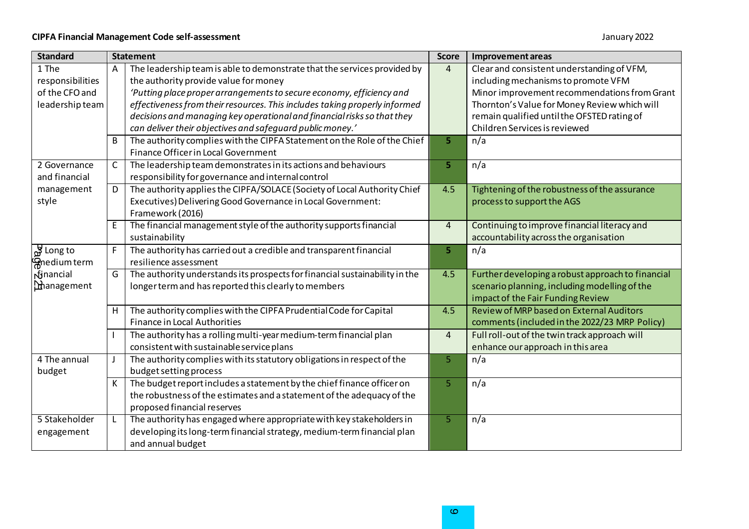| <b>Standard</b>              | <b>Statement</b> |                                                                             | <b>Score</b>   | Improvement areas                                 |  |
|------------------------------|------------------|-----------------------------------------------------------------------------|----------------|---------------------------------------------------|--|
| 1 The                        | Α                | The leadership team is able to demonstrate that the services provided by    | $\overline{4}$ | Clear and consistent understanding of VFM,        |  |
| responsibilities             |                  | the authority provide value for money                                       |                | including mechanisms to promote VFM               |  |
| of the CFO and               |                  | 'Putting place proper arrangements to secure economy, efficiency and        |                | Minor improvement recommendations from Grant      |  |
| leadership team              |                  | effectiveness from their resources. This includes taking properly informed  |                | Thornton's Value for Money Review which will      |  |
|                              |                  | decisions and managing key operational and financial risks so that they     |                | remain qualified until the OFSTED rating of       |  |
|                              |                  | can deliver their objectives and safeguard public money.'                   |                | Children Services is reviewed                     |  |
|                              | B                | The authority complies with the CIPFA Statement on the Role of the Chief    | 5              | n/a                                               |  |
|                              |                  | Finance Officer in Local Government                                         |                |                                                   |  |
| 2 Governance                 | С                | The leadership team demonstrates in its actions and behaviours              | 5              | n/a                                               |  |
| and financial                |                  | responsibility for governance and internal control                          |                |                                                   |  |
| management                   | D                | The authority applies the CIPFA/SOLACE (Society of Local Authority Chief    | 4.5            | Tightening of the robustness of the assurance     |  |
| style                        |                  | Executives) Delivering Good Governance in Local Government:                 |                | process to support the AGS                        |  |
|                              |                  | Framework (2016)                                                            |                |                                                   |  |
|                              | E                | The financial management style of the authority supports financial          | $\overline{4}$ | Continuing to improve financial literacy and      |  |
|                              |                  | sustainability                                                              |                | accountability across the organisation            |  |
| $\frac{1}{\omega^2}$ Long to | F                | The authority has carried out a credible and transparent financial          | 5              | n/a                                               |  |
| <b>G</b> nedium term         |                  | resilience assessment                                                       |                |                                                   |  |
| dinancial                    | G                | The authority understands its prospects for financial sustainability in the | 4.5            | Further developing a robust approach to financial |  |
| <b>M</b> anagement           |                  | longer term and has reported this clearly to members                        |                | scenario planning, including modelling of the     |  |
|                              |                  |                                                                             |                | impact of the Fair Funding Review                 |  |
|                              | Н                | The authority complies with the CIPFA Prudential Code for Capital           | 4.5            | Review of MRP based on External Auditors          |  |
|                              |                  | <b>Finance in Local Authorities</b>                                         |                | comments (included in the 2022/23 MRP Policy)     |  |
|                              |                  | The authority has a rolling multi-year medium-term financial plan           | $\overline{4}$ | Full roll-out of the twin track approach will     |  |
|                              |                  | consistent with sustainable service plans                                   |                | enhance our approach in this area                 |  |
| 4 The annual                 |                  | The authority complies with its statutory obligations in respect of the     | 5              | n/a                                               |  |
| budget                       |                  | budget setting process                                                      |                |                                                   |  |
|                              | К                | The budget report includes a statement by the chief finance officer on      | 5              | n/a                                               |  |
|                              |                  | the robustness of the estimates and a statement of the adequacy of the      |                |                                                   |  |
|                              |                  | proposed financial reserves                                                 |                |                                                   |  |
| 5 Stakeholder                |                  | The authority has engaged where appropriate with key stakeholders in        | 5              | n/a                                               |  |
| engagement                   |                  | developing its long-term financial strategy, medium-term financial plan     |                |                                                   |  |
|                              |                  | and annual budget                                                           |                |                                                   |  |